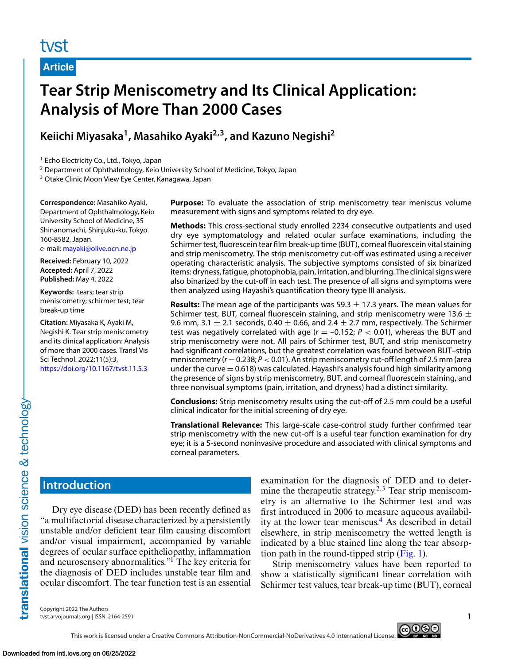# tyst

**Article**

# **Tear Strip Meniscometry and Its Clinical Application: Analysis of More Than 2000 Cases**

# **Keiichi Miyasaka1, Masahiko Ayaki2,3, and Kazuno Negishi2**

<sup>1</sup> Echo Electricity Co., Ltd., Tokyo, Japan

<sup>2</sup> Department of Ophthalmology, Keio University School of Medicine, Tokyo, Japan

<sup>3</sup> Otake Clinic Moon View Eye Center, Kanagawa, Japan

**Correspondence:** Masahiko Ayaki, Department of Ophthalmology, Keio University School of Medicine, 35 Shinanomachi, Shinjuku-ku, Tokyo 160-8582, Japan. e-mail: [mayaki@olive.ocn.ne.jp](mailto:mayaki@olive.ocn.ne.jp)

**Received:** February 10, 2022 **Accepted:** April 7, 2022

**Published:** May 4, 2022 **Keywords:** tears; tear strip meniscometry; schirmer test; tear break-up time

**Citation:** Miyasaka K, Ayaki M, Negishi K. Tear strip meniscometry and its clinical application: Analysis of more than 2000 cases. Transl Vis Sci Technol. 2022;11(5):3, <https://doi.org/10.1167/tvst.11.5.3>

**Purpose:** To evaluate the association of strip meniscometry tear meniscus volume measurement with signs and symptoms related to dry eye.

**Methods:** This cross-sectional study enrolled 2234 consecutive outpatients and used dry eye symptomatology and related ocular surface examinations, including the Schirmer test, fluorescein tear film break-up time (BUT), corneal fluorescein vital staining and strip meniscometry. The strip meniscometry cut-off was estimated using a receiver operating characteristic analysis. The subjective symptoms consisted of six binarized items: dryness,fatigue, photophobia, pain, irritation, and blurring. The clinical signs were also binarized by the cut-off in each test. The presence of all signs and symptoms were then analyzed using Hayashi's quantification theory type III analysis.

**Results:** The mean age of the participants was  $59.3 \pm 17.3$  years. The mean values for Schirmer test, BUT, corneal fluorescein staining, and strip meniscometry were 13.6  $\pm$ 9.6 mm, 3.1  $\pm$  2.1 seconds, 0.40  $\pm$  0.66, and 2.4  $\pm$  2.7 mm, respectively. The Schirmer test was negatively correlated with age  $(r = -0.152; P < 0.01)$ , whereas the BUT and strip meniscometry were not. All pairs of Schirmer test, BUT, and strip meniscometry had significant correlations, but the greatest correlation was found between BUT–strip meniscometry  $(r=0.238; P<0.01)$ . An strip meniscometry cut-off length of 2.5 mm (area under the curve  $= 0.618$ ) was calculated. Hayashi's analysis found high similarity among the presence of signs by strip meniscometry, BUT. and corneal fluorescein staining, and three nonvisual symptoms (pain, irritation, and dryness) had a distinct similarity.

**Conclusions:** Strip meniscometry results using the cut-off of 2.5 mm could be a useful clinical indicator for the initial screening of dry eye.

**Translational Relevance:** This large-scale case-control study further confirmed tear strip meniscometry with the new cut-off is a useful tear function examination for dry eye; it is a 5-second noninvasive procedure and associated with clinical symptoms and corneal parameters.

# **Introduction**

Dry eye disease (DED) has been recently defined as "a multifactorial disease characterized by a persistently unstable and/or deficient tear film causing discomfort and/or visual impairment, accompanied by variable degrees of ocular surface epitheliopathy, inflammation and neurosensory abnormalities.["1](#page-5-0) The key criteria for the diagnosis of DED includes unstable tear film and ocular discomfort. The tear function test is an essential examination for the diagnosis of DED and to determine the therapeutic strategy.<sup>2,3</sup> Tear strip meniscometry is an alternative to the Schirmer test and was first introduced in 2006 to measure aqueous availability at the lower tear meniscus.<sup>4</sup> As described in detail elsewhere, in strip meniscometry the wetted length is indicated by a blue stained line along the tear absorption path in the round-tipped strip  $(Fig. 1)$ .

Strip meniscometry values have been reported to show a statistically significant linear correlation with Schirmer test values, tear break-up time (BUT), corneal

Copyright 2022 The Authors tvst.arvojournals.org | ISSN: 2164-2591 1

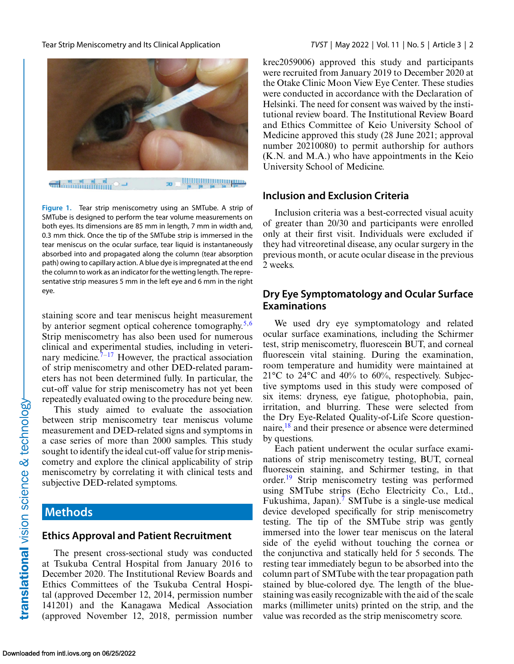

**<u>IIIIIIIIIIIIIIIIIIIIIIIIIIIIIIII</u>** æ.

**Figure 1.** Tear strip meniscometry using an SMTube. A strip of SMTube is designed to perform the tear volume measurements on both eyes. Its dimensions are 85 mm in length, 7 mm in width and, 0.3 mm thick. Once the tip of the SMTube strip is immersed in the tear meniscus on the ocular surface, tear liquid is instantaneously absorbed into and propagated along the column (tear absorption path) owing to capillary action. A blue dye is impregnated at the end the column to work as an indicator for the wetting length. The representative strip measures 5 mm in the left eye and 6 mm in the right eye.

staining score and tear meniscus height measurement by anterior segment optical coherence tomography.<sup>5,6</sup> Strip meniscometry has also been used for numerous clinical and experimental studies, including in veterinary medicine.<sup> $7-17$ </sup> However, the practical association of strip meniscometry and other DED-related parameters has not been determined fully. In particular, the cut-off value for strip meniscometry has not yet been repeatedly evaluated owing to the procedure being new.

This study aimed to evaluate the association between strip meniscometry tear meniscus volume measurement and DED-related signs and symptoms in a case series of more than 2000 samples. This study sought to identify the ideal cut-off value for strip meniscometry and explore the clinical applicability of strip meniscometry by correlating it with clinical tests and subjective DED-related symptoms.

### **Methods**

#### **Ethics Approval and Patient Recruitment**

The present cross-sectional study was conducted at Tsukuba Central Hospital from January 2016 to December 2020. The Institutional Review Boards and Ethics Committees of the Tsukuba Central Hospital (approved December 12, 2014, permission number 141201) and the Kanagawa Medical Association (approved November 12, 2018, permission number

<span id="page-1-0"></span>Tear Strip Meniscometry and Its Clinical Application *TVST* | May 2022 | Vol. 11 | No. 5 | Article 3 | 2

krec2059006) approved this study and participants were recruited from January 2019 to December 2020 at the Otake Clinic Moon View Eye Center. These studies were conducted in accordance with the Declaration of Helsinki. The need for consent was waived by the institutional review board. The Institutional Review Board and Ethics Committee of Keio University School of Medicine approved this study (28 June 2021; approval number 20210080) to permit authorship for authors (K.N. and M.A.) who have appointments in the Keio University School of Medicine.

#### **Inclusion and Exclusion Criteria**

Inclusion criteria was a best-corrected visual acuity of greater than 20/30 and participants were enrolled only at their first visit. Individuals were excluded if they had vitreoretinal disease, any ocular surgery in the previous month, or acute ocular disease in the previous 2 weeks.

### **Dry Eye Symptomatology and Ocular Surface Examinations**

We used dry eye symptomatology and related ocular surface examinations, including the Schirmer test, strip meniscometry, fluorescein BUT, and corneal fluorescein vital staining. During the examination, room temperature and humidity were maintained at  $21^{\circ}$ C to  $24^{\circ}$ C and  $40\%$  to  $60\%$ , respectively. Subjective symptoms used in this study were composed of six items: dryness, eye fatigue, photophobia, pain, irritation, and blurring. These were selected from the Dry Eye-Related Quality-of-Life Score question-naire,<sup>[18](#page-6-0)</sup> and their presence or absence were determined by questions.

Each patient underwent the ocular surface examinations of strip meniscometry testing, BUT, corneal fluorescein staining, and Schirmer testing, in that order.<sup>[19](#page-6-0)</sup> Strip meniscometry testing was performed using SMTube strips (Echo Electricity Co., Ltd., Fukushima, Japan).<sup>[7](#page-5-0)</sup> SMTube is a single-use medical device developed specifically for strip meniscometry testing. The tip of the SMTube strip was gently immersed into the lower tear meniscus on the lateral side of the eyelid without touching the cornea or the conjunctiva and statically held for 5 seconds. The resting tear immediately begun to be absorbed into the column part of SMTube with the tear propagation path stained by blue-colored dye. The length of the bluestaining was easily recognizable with the aid of the scale marks (millimeter units) printed on the strip, and the value was recorded as the strip meniscometry score.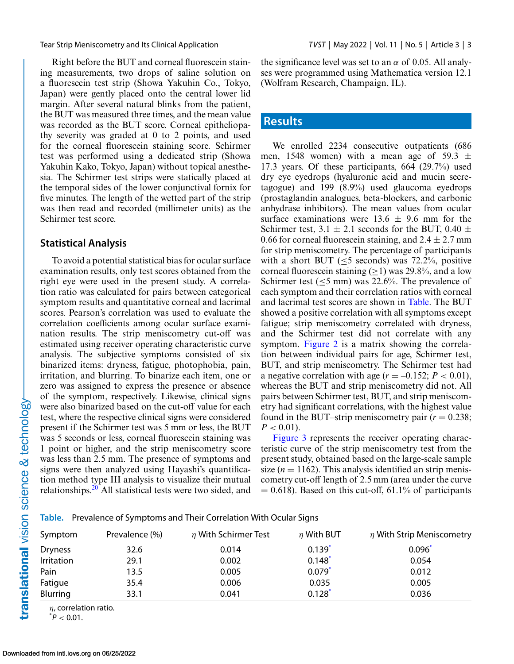Right before the BUT and corneal fluorescein staining measurements, two drops of saline solution on a fluorescein test strip (Showa Yakuhin Co., Tokyo, Japan) were gently placed onto the central lower lid margin. After several natural blinks from the patient, the BUT was measured three times, and the mean value was recorded as the BUT score. Corneal epitheliopathy severity was graded at 0 to 2 points, and used for the corneal fluorescein staining score. Schirmer test was performed using a dedicated strip (Showa Yakuhin Kako, Tokyo, Japan) without topical anesthesia. The Schirmer test strips were statically placed at the temporal sides of the lower conjunctival fornix for five minutes. The length of the wetted part of the strip was then read and recorded (millimeter units) as the Schirmer test score.

#### **Statistical Analysis**

To avoid a potential statistical bias for ocular surface examination results, only test scores obtained from the right eye were used in the present study. A correlation ratio was calculated for pairs between categorical symptom results and quantitative corneal and lacrimal scores. Pearson's correlation was used to evaluate the correlation coefficients among ocular surface examination results. The strip meniscometry cut-off was estimated using receiver operating characteristic curve analysis. The subjective symptoms consisted of six binarized items: dryness, fatigue, photophobia, pain, irritation, and blurring. To binarize each item, one or zero was assigned to express the presence or absence of the symptom, respectively. Likewise, clinical signs were also binarized based on the cut-off value for each test, where the respective clinical signs were considered present if the Schirmer test was 5 mm or less, the BUT was 5 seconds or less, corneal fluorescein staining was 1 point or higher, and the strip meniscometry score was less than 2.5 mm. The presence of symptoms and signs were then analyzed using Hayashi's quantification method type III analysis to visualize their mutual relationships.<sup>[20](#page-6-0)</sup> All statistical tests were two sided, and

the significance level was set to an  $\alpha$  of 0.05. All analyses were programmed using Mathematica version 12.1 (Wolfram Research, Champaign, IL).

#### **Results**

We enrolled 2234 consecutive outpatients (686 men, 1548 women) with a mean age of 59.3  $\pm$ 17.3 years. Of these participants, 664 (29.7%) used dry eye eyedrops (hyaluronic acid and mucin secretagogue) and 199 (8.9%) used glaucoma eyedrops (prostaglandin analogues, beta-blockers, and carbonic anhydrase inhibitors). The mean values from ocular surface examinations were  $13.6 \pm 9.6$  mm for the Schirmer test,  $3.1 \pm 2.1$  seconds for the BUT,  $0.40 \pm$ 0.66 for corneal fluorescein staining, and  $2.4 \pm 2.7$  mm for strip meniscometry. The percentage of participants with a short BUT  $(\leq 5$  seconds) was 72.2%, positive corneal fluorescein staining ( $\geq$ 1) was 29.8%, and a low Schirmer test ( $\leq$ 5 mm) was 22.6%. The prevalence of each symptom and their correlation ratios with corneal and lacrimal test scores are shown in Table. The BUT showed a positive correlation with all symptoms except fatigue; strip meniscometry correlated with dryness, and the Schirmer test did not correlate with any symptom. [Figure 2](#page-3-0) is a matrix showing the correlation between individual pairs for age, Schirmer test, BUT, and strip meniscometry. The Schirmer test had a negative correlation with age  $(r = -0.152; P < 0.01)$ , whereas the BUT and strip meniscometry did not. All pairs between Schirmer test, BUT, and strip meniscometry had significant correlations, with the highest value found in the BUT–strip meniscometry pair  $(r = 0.238)$ ;  $P < 0.01$ ).

[Figure 3](#page-3-0) represents the receiver operating characteristic curve of the strip meniscometry test from the present study, obtained based on the large-scale sample size  $(n = 1162)$ . This analysis identified an strip meniscometry cut-off length of 2.5 mm (area under the curve  $= 0.618$ ). Based on this cut-off, 61.1% of participants

**Table.** Prevalence of Symptoms and Their Correlation With Ocular Signs

| Symptom        | Prevalence (%) | $\eta$ With Schirmer Test | $\eta$ With BUT | $\eta$ With Strip Meniscometry |
|----------------|----------------|---------------------------|-----------------|--------------------------------|
| <b>Dryness</b> | 32.6           | 0.014                     | $0.139*$        | $0.096*$                       |
| Irritation     | 29.1           | 0.002                     | $0.148*$        | 0.054                          |
| Pain           | 13.5           | 0.005                     | $0.079*$        | 0.012                          |
| Fatigue        | 35.4           | 0.006                     | 0.035           | 0.005                          |
| Blurring       | 33.1           | 0.041                     | $0.128*$        | 0.036                          |

 $\eta$ , correlation ratio.

 $^*P < 0.01$ .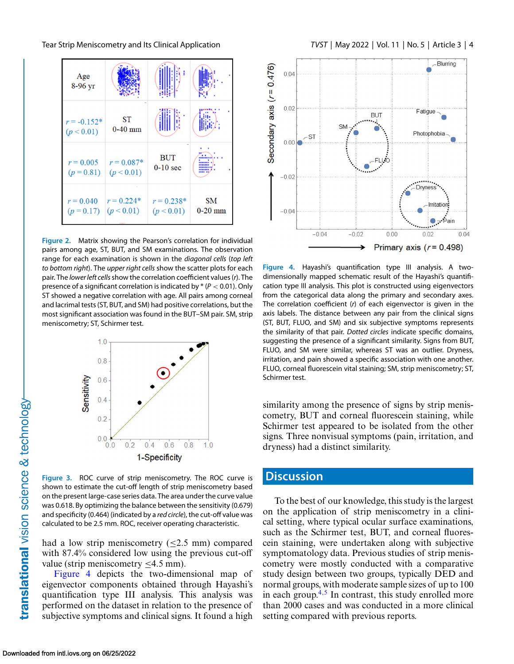<span id="page-3-0"></span>

**Figure 2.** Matrix showing the Pearson's correlation for individual pairs among age, ST, BUT, and SM examinations. The observation range for each examination is shown in the *diagonal cells* (*top left to bottom right*). The *upper right cells* show the scatter plots for each pair. The *lower left cells*show the correlation coefficient values (*r*). The presence of a significant correlation is indicated by \* (*P* < 0.01). Only ST showed a negative correlation with age. All pairs among corneal and lacrimal tests (ST, BUT, and SM) had positive correlations, but the most significant association was found in the BUT–SM pair. SM, strip meniscometry; ST, Schirmer test.



**Figure 3.** ROC curve of strip meniscometry. The ROC curve is shown to estimate the cut-off length of strip meniscometry based on the present large-case series data. The area under the curve value was 0.618. By optimizing the balance between the sensitivity (0.679) and specificity (0.464) (indicated by a *red circle*), the cut-off value was calculated to be 2.5 mm. ROC, receiver operating characteristic.

had a low strip meniscometry  $(\leq 2.5$  mm) compared with 87.4% considered low using the previous cut-off value (strip meniscometry ≤4.5 mm).

Figure 4 depicts the two-dimensional map of eigenvector components obtained through Hayashi's quantification type III analysis. This analysis was performed on the dataset in relation to the presence of subjective symptoms and clinical signs. It found a high



**Figure 4.** Hayashi's quantification type III analysis. A twodimensionally mapped schematic result of the Hayashi's quantification type III analysis. This plot is constructed using eigenvectors from the categorical data along the primary and secondary axes. The correlation coefficient (*r*) of each eigenvector is given in the axis labels. The distance between any pair from the clinical signs (ST, BUT, FLUO, and SM) and six subjective symptoms represents the similarity of that pair. *Dotted circles* indicate specific domains, suggesting the presence of a significant similarity. Signs from BUT, FLUO, and SM were similar, whereas ST was an outlier. Dryness, irritation, and pain showed a specific association with one another. FLUO, corneal fluorescein vital staining; SM, strip meniscometry; ST, Schirmer test.

similarity among the presence of signs by strip meniscometry, BUT and corneal fluorescein staining, while Schirmer test appeared to be isolated from the other signs. Three nonvisual symptoms (pain, irritation, and dryness) had a distinct similarity.

## **Discussion**

To the best of our knowledge, this study is the largest on the application of strip meniscometry in a clinical setting, where typical ocular surface examinations, such as the Schirmer test, BUT, and corneal fluorescein staining, were undertaken along with subjective symptomatology data. Previous studies of strip meniscometry were mostly conducted with a comparative study design between two groups, typically DED and normal groups, with moderate sample sizes of up to 100 in each group. $4,5$  In contrast, this study enrolled more than 2000 cases and was conducted in a more clinical setting compared with previous reports.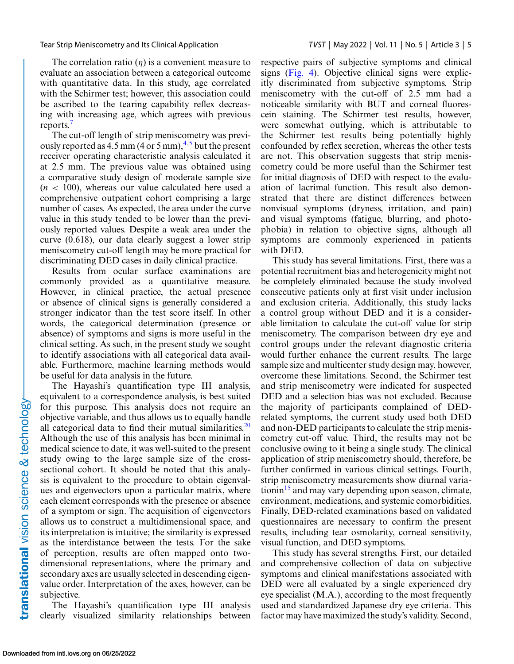The correlation ratio  $(n)$  is a convenient measure to evaluate an association between a categorical outcome with quantitative data. In this study, age correlated with the Schirmer test; however, this association could be ascribed to the tearing capability reflex decreasing with increasing age, which agrees with previous reports.[7](#page-5-0)

The cut-off length of strip meniscometry was previously reported as  $4.5$  mm (4 or 5 mm),<sup> $4.5$ </sup> but the present receiver operating characteristic analysis calculated it at 2.5 mm. The previous value was obtained using a comparative study design of moderate sample size  $(n < 100)$ , whereas our value calculated here used a comprehensive outpatient cohort comprising a large number of cases. As expected, the area under the curve value in this study tended to be lower than the previously reported values. Despite a weak area under the curve (0.618), our data clearly suggest a lower strip meniscometry cut-off length may be more practical for discriminating DED cases in daily clinical practice.

Results from ocular surface examinations are commonly provided as a quantitative measure. However, in clinical practice, the actual presence or absence of clinical signs is generally considered a stronger indicator than the test score itself. In other words, the categorical determination (presence or absence) of symptoms and signs is more useful in the clinical setting. As such, in the present study we sought to identify associations with all categorical data available. Furthermore, machine learning methods would be useful for data analysis in the future.

The Hayashi's quantification type III analysis, equivalent to a correspondence analysis, is best suited for this purpose. This analysis does not require an objective variable, and thus allows us to equally handle all categorical data to find their mutual similarities. $20$ Although the use of this analysis has been minimal in medical science to date, it was well-suited to the present study owing to the large sample size of the crosssectional cohort. It should be noted that this analysis is equivalent to the procedure to obtain eigenvalues and eigenvectors upon a particular matrix, where each element corresponds with the presence or absence of a symptom or sign. The acquisition of eigenvectors allows us to construct a multidimensional space, and its interpretation is intuitive; the similarity is expressed as the interdistance between the tests. For the sake of perception, results are often mapped onto twodimensional representations, where the primary and secondary axes are usually selected in descending eigenvalue order. Interpretation of the axes, however, can be subjective.

The Hayashi's quantification type III analysis clearly visualized similarity relationships between

respective pairs of subjective symptoms and clinical signs [\(Fig. 4\)](#page-3-0). Objective clinical signs were explicitly discriminated from subjective symptoms. Strip meniscometry with the cut-off of 2.5 mm had a noticeable similarity with BUT and corneal fluorescein staining. The Schirmer test results, however, were somewhat outlying, which is attributable to the Schirmer test results being potentially highly confounded by reflex secretion, whereas the other tests are not. This observation suggests that strip meniscometry could be more useful than the Schirmer test for initial diagnosis of DED with respect to the evaluation of lacrimal function. This result also demonstrated that there are distinct differences between nonvisual symptoms (dryness, irritation, and pain) and visual symptoms (fatigue, blurring, and photophobia) in relation to objective signs, although all symptoms are commonly experienced in patients with DED.

This study has several limitations. First, there was a potential recruitment bias and heterogenicity might not be completely eliminated because the study involved consecutive patients only at first visit under inclusion and exclusion criteria. Additionally, this study lacks a control group without DED and it is a considerable limitation to calculate the cut-off value for strip meniscometry. The comparison between dry eye and control groups under the relevant diagnostic criteria would further enhance the current results. The large sample size and multicenter study design may, however, overcome these limitations. Second, the Schirmer test and strip meniscometry were indicated for suspected DED and a selection bias was not excluded. Because the majority of participants complained of DEDrelated symptoms, the current study used both DED and non-DED participants to calculate the strip meniscometry cut-off value. Third, the results may not be conclusive owing to it being a single study. The clinical application of strip meniscometry should, therefore, be further confirmed in various clinical settings. Fourth, strip meniscometry measurements show diurnal variationin<sup>15</sup> and may vary depending upon season, climate, environment, medications, and systemic comorbidities. Finally, DED-related examinations based on validated questionnaires are necessary to confirm the present results, including tear osmolarity, corneal sensitivity, visual function, and DED symptoms.

This study has several strengths. First, our detailed and comprehensive collection of data on subjective symptoms and clinical manifestations associated with DED were all evaluated by a single experienced dry eye specialist (M.A.), according to the most frequently used and standardized Japanese dry eye criteria. This factor may have maximized the study's validity. Second,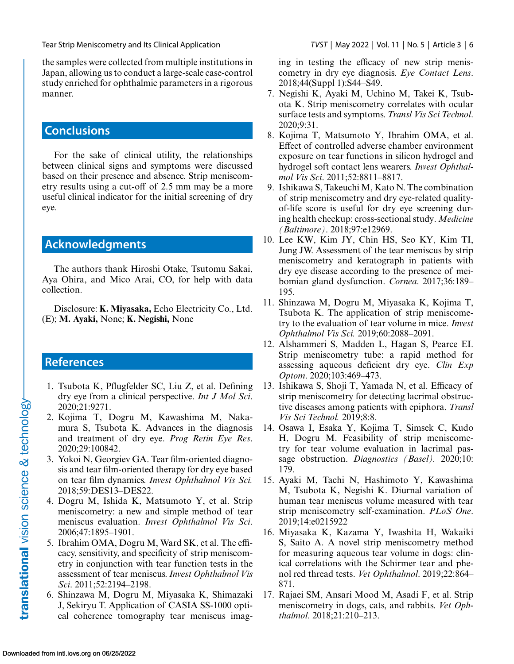<span id="page-5-0"></span>the samples were collected from multiple institutions in Japan, allowing us to conduct a large-scale case-control study enriched for ophthalmic parameters in a rigorous manner.

# **Conclusions**

For the sake of clinical utility, the relationships between clinical signs and symptoms were discussed based on their presence and absence. Strip meniscometry results using a cut-off of 2.5 mm may be a more useful clinical indicator for the initial screening of dry eye.

## **Acknowledgments**

The authors thank Hiroshi Otake, Tsutomu Sakai, Aya Ohira, and Mico Arai, CO, for help with data collection.

Disclosure: **K. Miyasaka,** Echo Electricity Co., Ltd. (E); **M. Ayaki,** None; **K. Negishi,** None

## **References**

- 1. Tsubota K, Pflugfelder SC, Liu Z, et al. Defining dry eye from a clinical perspective. *Int J Mol Sci*. 2020;21:9271.
- 2. Kojima T, Dogru M, Kawashima M, Nakamura S, Tsubota K. Advances in the diagnosis and treatment of dry eye. *Prog Retin Eye Res*. 2020;29:100842.
- 3. Yokoi N, Georgiev GA. Tear film-oriented diagnosis and tear film-oriented therapy for dry eye based on tear film dynamics. *Invest Ophthalmol Vis Sci.* 2018;59:DES13–DES22.
- 4. Dogru M, Ishida K, Matsumoto Y, et al. Strip meniscometry: a new and simple method of tear meniscus evaluation. *Invest Ophthalmol Vis Sci*. 2006;47:1895–1901.
- 5. Ibrahim OMA, Dogru M, Ward SK, et al. The efficacy, sensitivity, and specificity of strip meniscometry in conjunction with tear function tests in the assessment of tear meniscus. *Invest Ophthalmol Vis Sci*. 2011;52:2194–2198.
- 6. Shinzawa M, Dogru M, Miyasaka K, Shimazaki J, Sekiryu T. Application of CASIA SS-1000 optical coherence tomography tear meniscus imag-

ing in testing the efficacy of new strip meniscometry in dry eye diagnosis. *Eye Contact Lens*. 2018;44(Suppl 1):S44–S49.

- 7. Negishi K, Ayaki M, Uchino M, Takei K, Tsubota K. Strip meniscometry correlates with ocular surface tests and symptoms. *Transl Vis Sci Technol*. 2020;9:31.
- 8. Kojima T, Matsumoto Y, Ibrahim OMA, et al. Effect of controlled adverse chamber environment exposure on tear functions in silicon hydrogel and hydrogel soft contact lens wearers. *Invest Ophthalmol Vis Sci*. 2011;52:8811–8817.
- 9. Ishikawa S, Takeuchi M, Kato N. The combination of strip meniscometry and dry eye-related qualityof-life score is useful for dry eye screening during health checkup: cross-sectional study. *Medicine (Baltimore)*. 2018;97:e12969.
- 10. Lee KW, Kim JY, Chin HS, Seo KY, Kim TI, Jung JW. Assessment of the tear meniscus by strip meniscometry and keratograph in patients with dry eye disease according to the presence of meibomian gland dysfunction. *Cornea*. 2017;36:189– 195.
- 11. Shinzawa M, Dogru M, Miyasaka K, Kojima T, Tsubota K. The application of strip meniscometry to the evaluation of tear volume in mice. *Invest Ophthalmol Vis Sci.* 2019;60:2088–2091.
- 12. Alshammeri S, Madden L, Hagan S, Pearce EI. Strip meniscometry tube: a rapid method for assessing aqueous deficient dry eye. *Clin Exp Optom*. 2020;103:469–473.
- 13. Ishikawa S, Shoji T, Yamada N, et al. Efficacy of strip meniscometry for detecting lacrimal obstructive diseases among patients with epiphora. *Transl Vis Sci Technol.* 2019;8:8.
- 14. Osawa I, Esaka Y, Kojima T, Simsek C, Kudo H, Dogru M. Feasibility of strip meniscometry for tear volume evaluation in lacrimal passage obstruction. *Diagnostics (Basel).* 2020;10: 179.
- 15. Ayaki M, Tachi N, Hashimoto Y, Kawashima M, Tsubota K, Negishi K. Diurnal variation of human tear meniscus volume measured with tear strip meniscometry self-examination. *PLoS One*. 2019;14:e0215922
- 16. Miyasaka K, Kazama Y, Iwashita H, Wakaiki S, Saito A. A novel strip meniscometry method for measuring aqueous tear volume in dogs: clinical correlations with the Schirmer tear and phenol red thread tests. *Vet Ophthalmol*. 2019;22:864– 871.
- 17. Rajaei SM, Ansari Mood M, Asadi F, et al. Strip meniscometry in dogs, cats, and rabbits. *Vet Ophthalmol*. 2018;21:210–213.